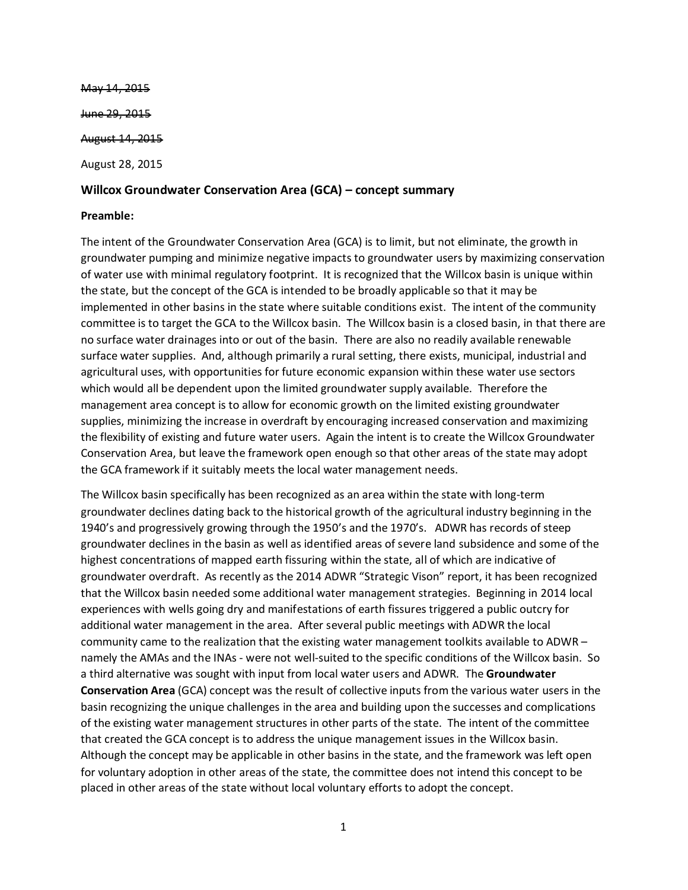May 14, 2015 <del>June 29, 2015</del> August 14, 2015 August 28, 2015

### **Willcox Groundwater Conservation Area (GCA) – concept summary**

### **Preamble:**

The intent of the Groundwater Conservation Area (GCA) is to limit, but not eliminate, the growth in groundwater pumping and minimize negative impacts to groundwater users by maximizing conservation of water use with minimal regulatory footprint. It is recognized that the Willcox basin is unique within the state, but the concept of the GCA is intended to be broadly applicable so that it may be implemented in other basins in the state where suitable conditions exist. The intent of the community committee is to target the GCA to the Willcox basin. The Willcox basin is a closed basin, in that there are no surface water drainages into or out of the basin. There are also no readily available renewable surface water supplies. And, although primarily a rural setting, there exists, municipal, industrial and agricultural uses, with opportunities for future economic expansion within these water use sectors which would all be dependent upon the limited groundwater supply available. Therefore the management area concept is to allow for economic growth on the limited existing groundwater supplies, minimizing the increase in overdraft by encouraging increased conservation and maximizing the flexibility of existing and future water users. Again the intent is to create the Willcox Groundwater Conservation Area, but leave the framework open enough so that other areas of the state may adopt the GCA framework if it suitably meets the local water management needs.

The Willcox basin specifically has been recognized as an area within the state with long-term groundwater declines dating back to the historical growth of the agricultural industry beginning in the 1940's and progressively growing through the 1950's and the 1970's. ADWR has records of steep groundwater declines in the basin as well as identified areas of severe land subsidence and some of the highest concentrations of mapped earth fissuring within the state, all of which are indicative of groundwater overdraft. As recently as the 2014 ADWR "Strategic Vison" report, it has been recognized that the Willcox basin needed some additional water management strategies. Beginning in 2014 local experiences with wells going dry and manifestations of earth fissures triggered a public outcry for additional water management in the area. After several public meetings with ADWR the local community came to the realization that the existing water management toolkits available to ADWR – namely the AMAs and the INAs - were not well-suited to the specific conditions of the Willcox basin. So a third alternative was sought with input from local water users and ADWR. The **Groundwater Conservation Area** (GCA) concept was the result of collective inputs from the various water users in the basin recognizing the unique challenges in the area and building upon the successes and complications of the existing water management structures in other parts of the state. The intent of the committee that created the GCA concept is to address the unique management issues in the Willcox basin. Although the concept may be applicable in other basins in the state, and the framework was left open for voluntary adoption in other areas of the state, the committee does not intend this concept to be placed in other areas of the state without local voluntary efforts to adopt the concept.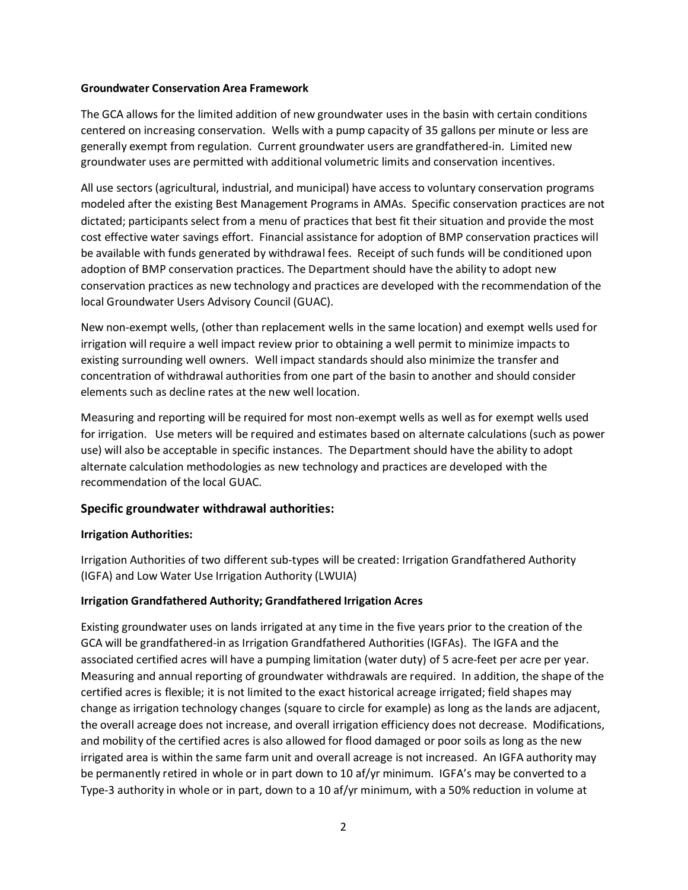### **Groundwater Conservation Area Framework**

The GCA allows for the limited addition of new groundwater uses in the basin with certain conditions centered on increasing conservation. Wells with a pump capacity of 35 gallons per minute or less are generally exempt from regulation. Current groundwater users are grandfathered-in. Limited new groundwater uses are permitted with additional volumetric limits and conservation incentives.

All use sectors (agricultural, industrial, and municipal) have access to voluntary conservation programs modeled after the existing Best Management Programs in AMAs. Specific conservation practices are not dictated; participants select from a menu of practices that best fit their situation and provide the most cost effective water savings effort. Financial assistance for adoption of BMP conservation practices will be available with funds generated by withdrawal fees. Receipt of such funds will be conditioned upon adoption of BMP conservation practices. The Department should have the ability to adopt new conservation practices as new technology and practices are developed with the recommendation of the local Groundwater Users Advisory Council (GUAC).

New non-exempt wells, (other than replacement wells in the same location) and exempt wells used for irrigation will require a well impact review prior to obtaining a well permit to minimize impacts to existing surrounding well owners. Well impact standards should also minimize the transfer and concentration of withdrawal authorities from one part of the basin to another and should consider elements such as decline rates at the new well location.

Measuring and reporting will be required for most non-exempt wells as well as for exempt wells used for irrigation. Use meters will be required and estimates based on alternate calculations (such as power use) will also be acceptable in specific instances. The Department should have the ability to adopt alternate calculation methodologies as new technology and practices are developed with the recommendation of the local GUAC.

# **Specific groundwater withdrawal authorities:**

## **Irrigation Authorities:**

Irrigation Authorities of two different sub-types will be created: Irrigation Grandfathered Authority (IGFA) and Low Water Use Irrigation Authority (LWUIA)

## **Irrigation Grandfathered Authority; Grandfathered Irrigation Acres**

Existing groundwater uses on lands irrigated at any time in the five years prior to the creation of the GCA will be grandfathered-in as Irrigation Grandfathered Authorities (IGFAs). The IGFA and the associated certified acres will have a pumping limitation (water duty) of 5 acre-feet per acre per year. Measuring and annual reporting of groundwater withdrawals are required. In addition, the shape of the certified acres is flexible; it is not limited to the exact historical acreage irrigated; field shapes may change as irrigation technology changes (square to circle for example) as long as the lands are adjacent, the overall acreage does not increase, and overall irrigation efficiency does not decrease. Modifications, and mobility of the certified acres is also allowed for flood damaged or poor soils as long as the new irrigated area is within the same farm unit and overall acreage is not increased. An IGFA authority may be permanently retired in whole or in part down to 10 af/yr minimum. IGFA's may be converted to a Type-3 authority in whole or in part, down to a 10 af/yr minimum, with a 50% reduction in volume at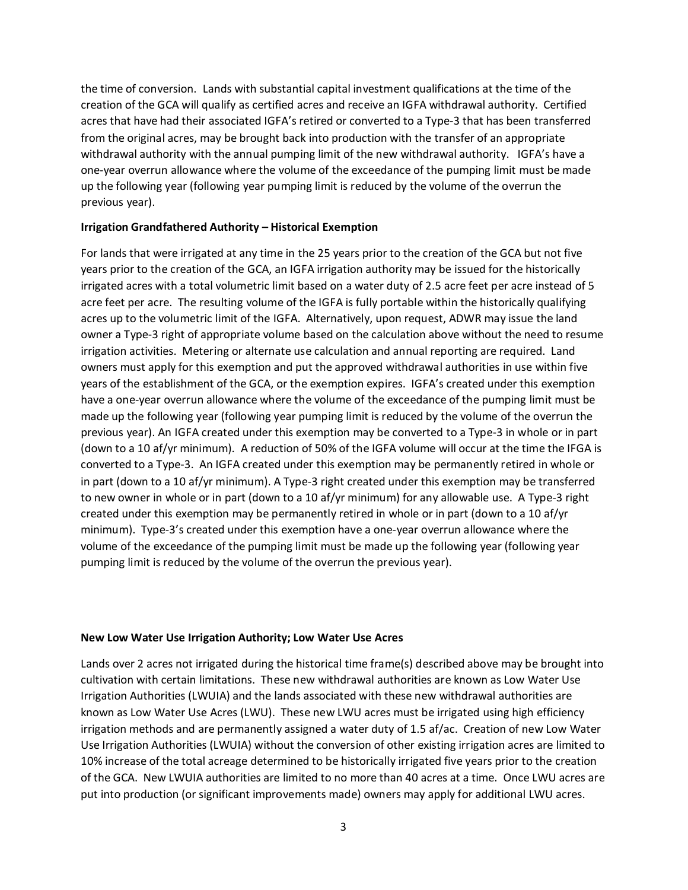the time of conversion. Lands with substantial capital investment qualifications at the time of the creation of the GCA will qualify as certified acres and receive an IGFA withdrawal authority. Certified acres that have had their associated IGFA's retired or converted to a Type-3 that has been transferred from the original acres, may be brought back into production with the transfer of an appropriate withdrawal authority with the annual pumping limit of the new withdrawal authority. IGFA's have a one-year overrun allowance where the volume of the exceedance of the pumping limit must be made up the following year (following year pumping limit is reduced by the volume of the overrun the previous year).

### **Irrigation Grandfathered Authority – Historical Exemption**

For lands that were irrigated at any time in the 25 years prior to the creation of the GCA but not five years prior to the creation of the GCA, an IGFA irrigation authority may be issued for the historically irrigated acres with a total volumetric limit based on a water duty of 2.5 acre feet per acre instead of 5 acre feet per acre. The resulting volume of the IGFA is fully portable within the historically qualifying acres up to the volumetric limit of the IGFA. Alternatively, upon request, ADWR may issue the land owner a Type-3 right of appropriate volume based on the calculation above without the need to resume irrigation activities. Metering or alternate use calculation and annual reporting are required. Land owners must apply for this exemption and put the approved withdrawal authorities in use within five years of the establishment of the GCA, or the exemption expires. IGFA's created under this exemption have a one-year overrun allowance where the volume of the exceedance of the pumping limit must be made up the following year (following year pumping limit is reduced by the volume of the overrun the previous year). An IGFA created under this exemption may be converted to a Type-3 in whole or in part (down to a 10 af/yr minimum). A reduction of 50% of the IGFA volume will occur at the time the IFGA is converted to a Type-3. An IGFA created under this exemption may be permanently retired in whole or in part (down to a 10 af/yr minimum). A Type-3 right created under this exemption may be transferred to new owner in whole or in part (down to a 10 af/yr minimum) for any allowable use. A Type-3 right created under this exemption may be permanently retired in whole or in part (down to a 10 af/yr minimum). Type-3's created under this exemption have a one-year overrun allowance where the volume of the exceedance of the pumping limit must be made up the following year (following year pumping limit is reduced by the volume of the overrun the previous year).

### **New Low Water Use Irrigation Authority; Low Water Use Acres**

Lands over 2 acres not irrigated during the historical time frame(s) described above may be brought into cultivation with certain limitations. These new withdrawal authorities are known as Low Water Use Irrigation Authorities (LWUIA) and the lands associated with these new withdrawal authorities are known as Low Water Use Acres (LWU). These new LWU acres must be irrigated using high efficiency irrigation methods and are permanently assigned a water duty of 1.5 af/ac. Creation of new Low Water Use Irrigation Authorities (LWUIA) without the conversion of other existing irrigation acres are limited to 10% increase of the total acreage determined to be historically irrigated five years prior to the creation of the GCA. New LWUIA authorities are limited to no more than 40 acres at a time. Once LWU acres are put into production (or significant improvements made) owners may apply for additional LWU acres.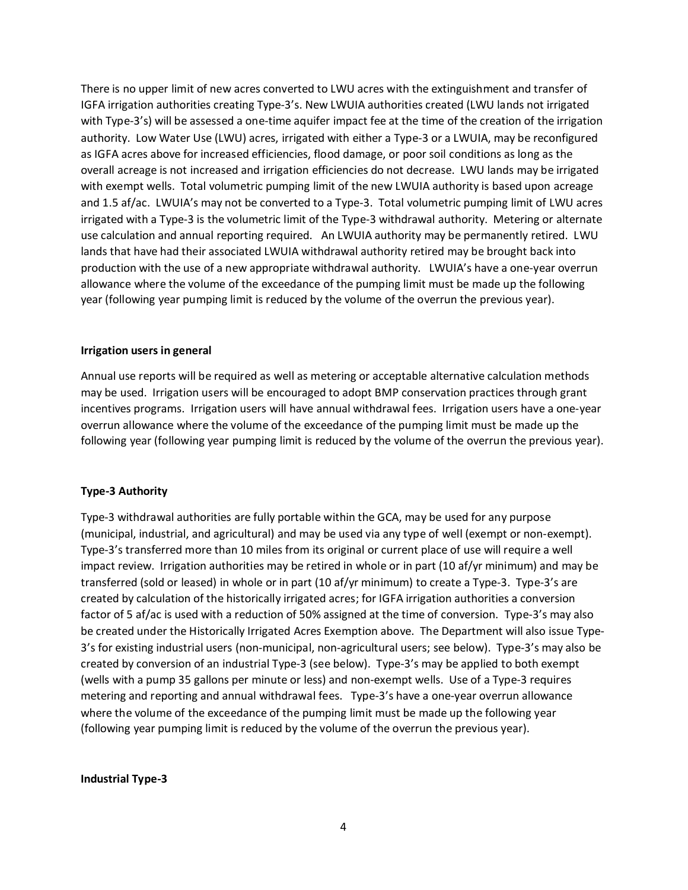There is no upper limit of new acres converted to LWU acres with the extinguishment and transfer of IGFA irrigation authorities creating Type-3's. New LWUIA authorities created (LWU lands not irrigated with Type-3's) will be assessed a one-time aquifer impact fee at the time of the creation of the irrigation authority. Low Water Use (LWU) acres, irrigated with either a Type-3 or a LWUIA, may be reconfigured as IGFA acres above for increased efficiencies, flood damage, or poor soil conditions as long as the overall acreage is not increased and irrigation efficiencies do not decrease. LWU lands may be irrigated with exempt wells. Total volumetric pumping limit of the new LWUIA authority is based upon acreage and 1.5 af/ac. LWUIA's may not be converted to a Type-3. Total volumetric pumping limit of LWU acres irrigated with a Type-3 is the volumetric limit of the Type-3 withdrawal authority. Metering or alternate use calculation and annual reporting required. An LWUIA authority may be permanently retired. LWU lands that have had their associated LWUIA withdrawal authority retired may be brought back into production with the use of a new appropriate withdrawal authority. LWUIA's have a one-year overrun allowance where the volume of the exceedance of the pumping limit must be made up the following year (following year pumping limit is reduced by the volume of the overrun the previous year).

### **Irrigation users in general**

Annual use reports will be required as well as metering or acceptable alternative calculation methods may be used. Irrigation users will be encouraged to adopt BMP conservation practices through grant incentives programs. Irrigation users will have annual withdrawal fees. Irrigation users have a one-year overrun allowance where the volume of the exceedance of the pumping limit must be made up the following year (following year pumping limit is reduced by the volume of the overrun the previous year).

## **Type-3 Authority**

Type-3 withdrawal authorities are fully portable within the GCA, may be used for any purpose (municipal, industrial, and agricultural) and may be used via any type of well (exempt or non-exempt). Type-3's transferred more than 10 miles from its original or current place of use will require a well impact review. Irrigation authorities may be retired in whole or in part (10 af/yr minimum) and may be transferred (sold or leased) in whole or in part (10 af/yr minimum) to create a Type-3. Type-3's are created by calculation of the historically irrigated acres; for IGFA irrigation authorities a conversion factor of 5 af/ac is used with a reduction of 50% assigned at the time of conversion. Type-3's may also be created under the Historically Irrigated Acres Exemption above. The Department will also issue Type-3's for existing industrial users (non-municipal, non-agricultural users; see below). Type-3's may also be created by conversion of an industrial Type-3 (see below). Type-3's may be applied to both exempt (wells with a pump 35 gallons per minute or less) and non-exempt wells. Use of a Type-3 requires metering and reporting and annual withdrawal fees. Type-3's have a one-year overrun allowance where the volume of the exceedance of the pumping limit must be made up the following year (following year pumping limit is reduced by the volume of the overrun the previous year).

### **Industrial Type-3**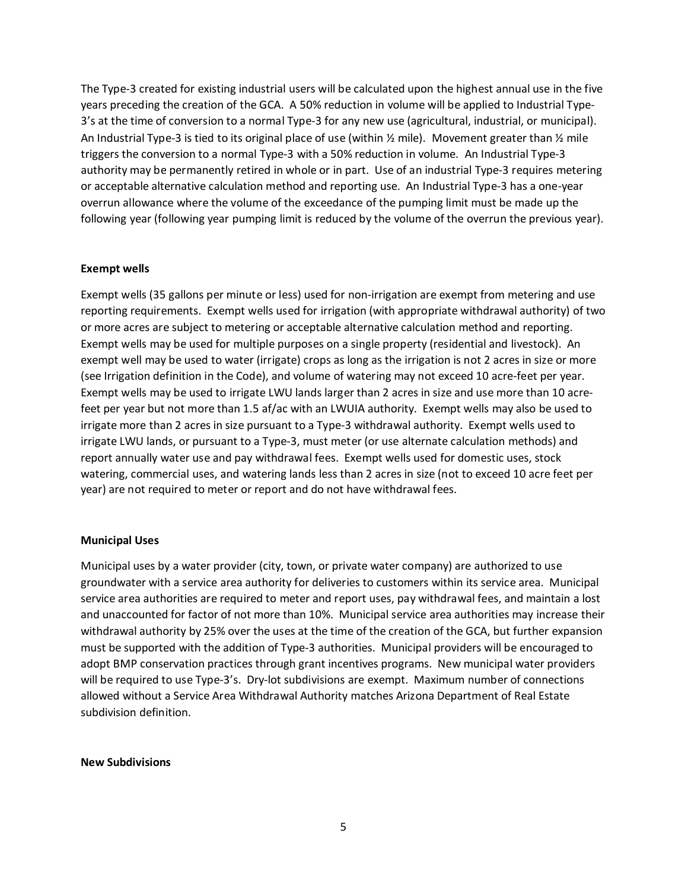The Type-3 created for existing industrial users will be calculated upon the highest annual use in the five years preceding the creation of the GCA. A 50% reduction in volume will be applied to Industrial Type-3's at the time of conversion to a normal Type-3 for any new use (agricultural, industrial, or municipal). An Industrial Type-3 is tied to its original place of use (within  $\frac{1}{2}$  mile). Movement greater than  $\frac{1}{2}$  mile triggers the conversion to a normal Type-3 with a 50% reduction in volume. An Industrial Type-3 authority may be permanently retired in whole or in part. Use of an industrial Type-3 requires metering or acceptable alternative calculation method and reporting use. An Industrial Type-3 has a one-year overrun allowance where the volume of the exceedance of the pumping limit must be made up the following year (following year pumping limit is reduced by the volume of the overrun the previous year).

### **Exempt wells**

Exempt wells (35 gallons per minute or less) used for non-irrigation are exempt from metering and use reporting requirements. Exempt wells used for irrigation (with appropriate withdrawal authority) of two or more acres are subject to metering or acceptable alternative calculation method and reporting. Exempt wells may be used for multiple purposes on a single property (residential and livestock). An exempt well may be used to water (irrigate) crops as long as the irrigation is not 2 acres in size or more (see Irrigation definition in the Code), and volume of watering may not exceed 10 acre-feet per year. Exempt wells may be used to irrigate LWU lands larger than 2 acres in size and use more than 10 acrefeet per year but not more than 1.5 af/ac with an LWUIA authority. Exempt wells may also be used to irrigate more than 2 acres in size pursuant to a Type-3 withdrawal authority. Exempt wells used to irrigate LWU lands, or pursuant to a Type-3, must meter (or use alternate calculation methods) and report annually water use and pay withdrawal fees. Exempt wells used for domestic uses, stock watering, commercial uses, and watering lands less than 2 acres in size (not to exceed 10 acre feet per year) are not required to meter or report and do not have withdrawal fees.

#### **Municipal Uses**

Municipal uses by a water provider (city, town, or private water company) are authorized to use groundwater with a service area authority for deliveries to customers within its service area. Municipal service area authorities are required to meter and report uses, pay withdrawal fees, and maintain a lost and unaccounted for factor of not more than 10%. Municipal service area authorities may increase their withdrawal authority by 25% over the uses at the time of the creation of the GCA, but further expansion must be supported with the addition of Type-3 authorities. Municipal providers will be encouraged to adopt BMP conservation practices through grant incentives programs. New municipal water providers will be required to use Type-3's. Dry-lot subdivisions are exempt. Maximum number of connections allowed without a Service Area Withdrawal Authority matches Arizona Department of Real Estate subdivision definition.

#### **New Subdivisions**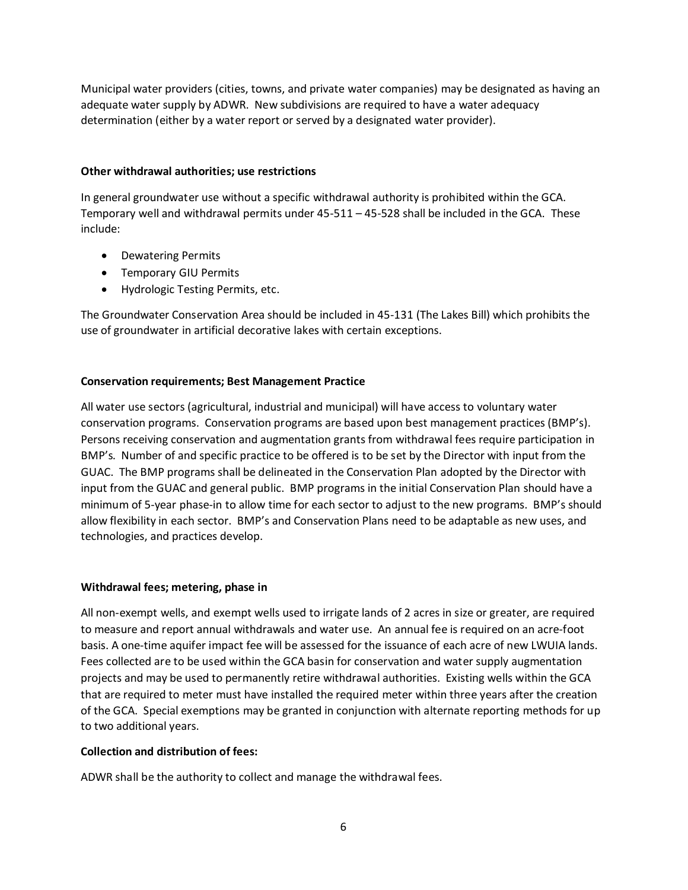Municipal water providers (cities, towns, and private water companies) may be designated as having an adequate water supply by ADWR. New subdivisions are required to have a water adequacy determination (either by a water report or served by a designated water provider).

## **Other withdrawal authorities; use restrictions**

In general groundwater use without a specific withdrawal authority is prohibited within the GCA. Temporary well and withdrawal permits under 45-511 – 45-528 shall be included in the GCA. These include:

- Dewatering Permits
- Temporary GIU Permits
- Hydrologic Testing Permits, etc.

The Groundwater Conservation Area should be included in 45-131 (The Lakes Bill) which prohibits the use of groundwater in artificial decorative lakes with certain exceptions.

## **Conservation requirements; Best Management Practice**

All water use sectors (agricultural, industrial and municipal) will have access to voluntary water conservation programs. Conservation programs are based upon best management practices (BMP's). Persons receiving conservation and augmentation grants from withdrawal fees require participation in BMP's. Number of and specific practice to be offered is to be set by the Director with input from the GUAC. The BMP programs shall be delineated in the Conservation Plan adopted by the Director with input from the GUAC and general public. BMP programs in the initial Conservation Plan should have a minimum of 5-year phase-in to allow time for each sector to adjust to the new programs. BMP's should allow flexibility in each sector. BMP's and Conservation Plans need to be adaptable as new uses, and technologies, and practices develop.

## **Withdrawal fees; metering, phase in**

All non-exempt wells, and exempt wells used to irrigate lands of 2 acres in size or greater, are required to measure and report annual withdrawals and water use. An annual fee is required on an acre-foot basis. A one-time aquifer impact fee will be assessed for the issuance of each acre of new LWUIA lands. Fees collected are to be used within the GCA basin for conservation and water supply augmentation projects and may be used to permanently retire withdrawal authorities. Existing wells within the GCA that are required to meter must have installed the required meter within three years after the creation of the GCA. Special exemptions may be granted in conjunction with alternate reporting methods for up to two additional years.

## **Collection and distribution of fees:**

ADWR shall be the authority to collect and manage the withdrawal fees.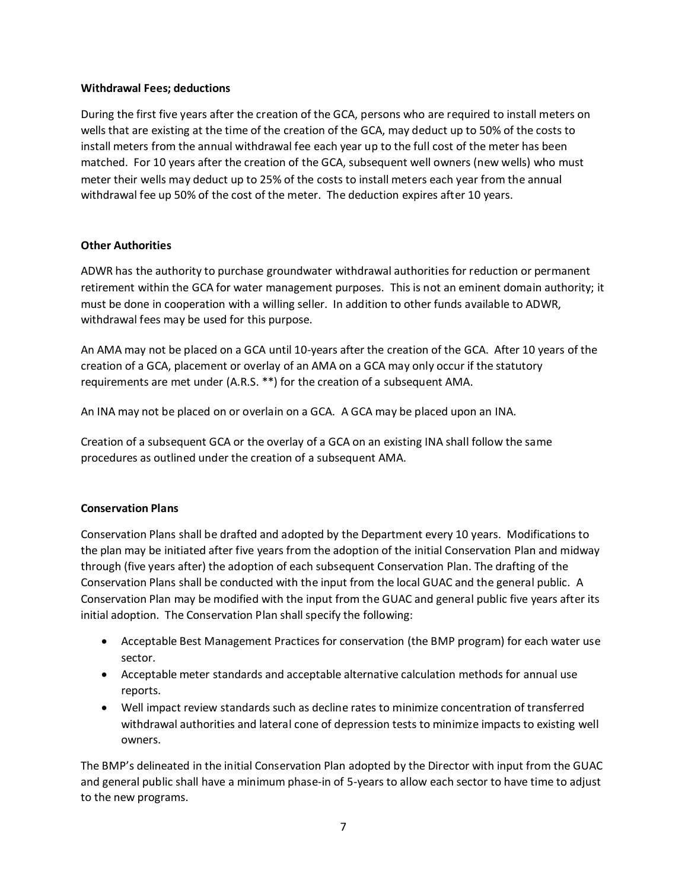## **Withdrawal Fees; deductions**

During the first five years after the creation of the GCA, persons who are required to install meters on wells that are existing at the time of the creation of the GCA, may deduct up to 50% of the costs to install meters from the annual withdrawal fee each year up to the full cost of the meter has been matched. For 10 years after the creation of the GCA, subsequent well owners (new wells) who must meter their wells may deduct up to 25% of the costs to install meters each year from the annual withdrawal fee up 50% of the cost of the meter. The deduction expires after 10 years.

### **Other Authorities**

ADWR has the authority to purchase groundwater withdrawal authorities for reduction or permanent retirement within the GCA for water management purposes. This is not an eminent domain authority; it must be done in cooperation with a willing seller. In addition to other funds available to ADWR, withdrawal fees may be used for this purpose.

An AMA may not be placed on a GCA until 10-years after the creation of the GCA. After 10 years of the creation of a GCA, placement or overlay of an AMA on a GCA may only occur if the statutory requirements are met under (A.R.S. \*\*) for the creation of a subsequent AMA.

An INA may not be placed on or overlain on a GCA. A GCA may be placed upon an INA.

Creation of a subsequent GCA or the overlay of a GCA on an existing INA shall follow the same procedures as outlined under the creation of a subsequent AMA.

## **Conservation Plans**

Conservation Plans shall be drafted and adopted by the Department every 10 years. Modifications to the plan may be initiated after five years from the adoption of the initial Conservation Plan and midway through (five years after) the adoption of each subsequent Conservation Plan. The drafting of the Conservation Plans shall be conducted with the input from the local GUAC and the general public. A Conservation Plan may be modified with the input from the GUAC and general public five years after its initial adoption. The Conservation Plan shall specify the following:

- Acceptable Best Management Practices for conservation (the BMP program) for each water use sector.
- Acceptable meter standards and acceptable alternative calculation methods for annual use reports.
- Well impact review standards such as decline rates to minimize concentration of transferred withdrawal authorities and lateral cone of depression tests to minimize impacts to existing well owners.

The BMP's delineated in the initial Conservation Plan adopted by the Director with input from the GUAC and general public shall have a minimum phase-in of 5-years to allow each sector to have time to adjust to the new programs.